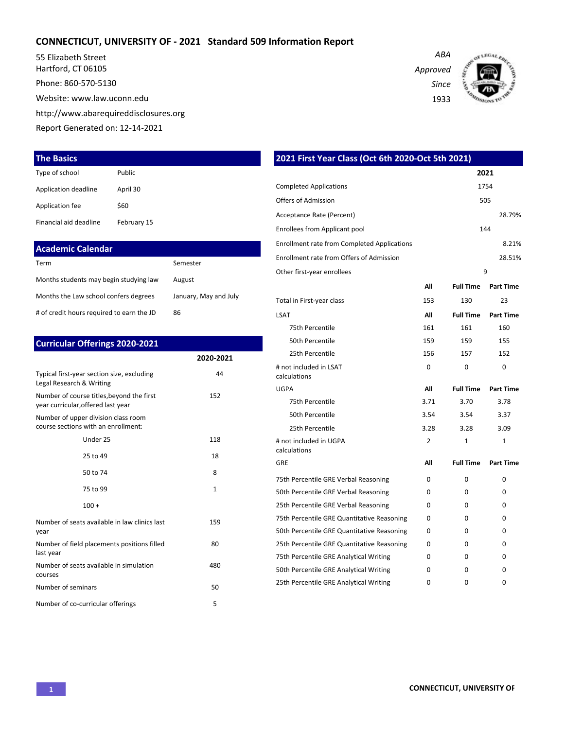## **CONNECTICUT, UNIVERSITY OF - 2021 Standard 509 Information Report**

55 Elizabeth Street Hartford, CT 06105

Phone: 860-570-5130

Website: www.law.uconn.edu

http://www.abarequireddisclosures.org

Report Generated on: 12-14-2021

#### **The Basics**

| Type of school         | Public      |
|------------------------|-------------|
| Application deadline   | April 30    |
| Application fee        | \$60        |
| Financial aid deadline | February 15 |

| <b>Academic Calendar</b>                  |                       |
|-------------------------------------------|-----------------------|
| Term                                      | Semester              |
| Months students may begin studying law    | August                |
| Months the Law school confers degrees     | January, May and July |
| # of credit hours required to earn the JD | 86                    |

| <b>Curricular Offerings 2020-2021</b>                                           |           |
|---------------------------------------------------------------------------------|-----------|
|                                                                                 | 2020-2021 |
| Typical first-year section size, excluding<br>Legal Research & Writing          | 44        |
| Number of course titles, beyond the first<br>year curricular, offered last year | 152       |
| Number of upper division class room<br>course sections with an enrollment:      |           |
| Under 25                                                                        | 118       |
| 25 to 49                                                                        | 18        |
| 50 to 74                                                                        | 8         |
| 75 to 99                                                                        | 1         |
| $100 +$                                                                         |           |
| Number of seats available in law clinics last<br>year                           | 159       |
| Number of field placements positions filled<br>last year                        | 80        |
| Number of seats available in simulation<br>courses                              | 480       |
| Number of seminars                                                              | 50        |
| Number of co-curricular offerings                                               | 5         |

| 2021 First Year Class (Oct 6th 2020-Oct 5th 2021)  |                |                  |                  |
|----------------------------------------------------|----------------|------------------|------------------|
|                                                    |                |                  | 2021             |
| <b>Completed Applications</b>                      |                |                  | 1754             |
| <b>Offers of Admission</b>                         |                |                  | 505              |
| Acceptance Rate (Percent)                          |                |                  | 28.79%           |
| Enrollees from Applicant pool                      |                |                  | 144              |
| <b>Enrollment rate from Completed Applications</b> |                |                  | 8.21%            |
| Enrollment rate from Offers of Admission           |                |                  | 28.51%           |
| Other first-year enrollees                         |                |                  | 9                |
|                                                    | All            | <b>Full Time</b> | <b>Part Time</b> |
| Total in First-year class                          | 153            | 130              | 23               |
| <b>LSAT</b>                                        | All            | <b>Full Time</b> | <b>Part Time</b> |
| 75th Percentile                                    | 161            | 161              | 160              |
| 50th Percentile                                    | 159            | 159              | 155              |
| 25th Percentile                                    | 156            | 157              | 152              |
| # not included in LSAT<br>calculations             | 0              | 0                | 0                |
| <b>UGPA</b>                                        | All            | <b>Full Time</b> | <b>Part Time</b> |
| 75th Percentile                                    | 3.71           | 3.70             | 3.78             |
| 50th Percentile                                    | 3.54           | 3.54             | 3.37             |
| 25th Percentile                                    | 3.28           | 3.28             | 3.09             |
| # not included in UGPA<br>calculations             | $\overline{2}$ | $\mathbf{1}$     | $\mathbf{1}$     |
| GRE                                                | All            | <b>Full Time</b> | <b>Part Time</b> |
| 75th Percentile GRE Verbal Reasoning               | 0              | 0                | 0                |
| 50th Percentile GRE Verbal Reasoning               | 0              | 0                | 0                |
| 25th Percentile GRE Verbal Reasoning               | 0              | $\Omega$         | $\Omega$         |
| 75th Percentile GRE Quantitative Reasoning         | 0              | $\Omega$         | 0                |
| 50th Percentile GRE Quantitative Reasoning         | 0              | $\Omega$         | 0                |
| 25th Percentile GRE Quantitative Reasoning         | 0              | 0                | 0                |
| 75th Percentile GRE Analytical Writing             | 0              | 0                | 0                |
| 50th Percentile GRE Analytical Writing             | 0              | $\Omega$         | $\Omega$         |

25th Percentile GRE Analytical Writing  $0$  0 0 0 0

*Approved Since*

*ABA*

1933

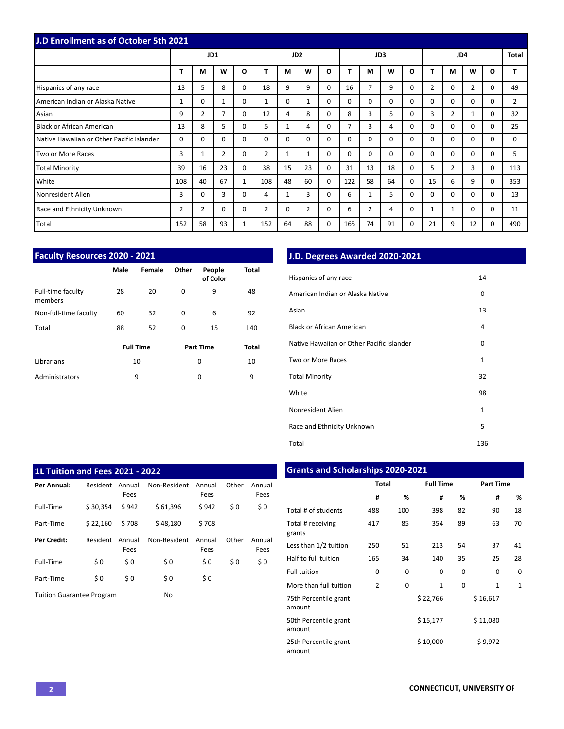|                                           | <b>J.D Enrollment as of October 5th 2021</b> |                |          |              |                |                 |                |          |          |    |             |          |          |                |                |              |                |
|-------------------------------------------|----------------------------------------------|----------------|----------|--------------|----------------|-----------------|----------------|----------|----------|----|-------------|----------|----------|----------------|----------------|--------------|----------------|
|                                           |                                              | JD1            |          |              |                | JD <sub>2</sub> |                |          |          |    | JD3         |          |          | Total          |                |              |                |
|                                           | т                                            | M              | W        | $\mathbf{o}$ |                | M               | W              | O        |          | М  | W           | $\Omega$ | т        | М              | W              | $\mathbf{o}$ |                |
| Hispanics of any race                     | 13                                           | 5              | 8        | 0            | 18             | 9               | 9              | $\Omega$ | 16       | 7  | 9           | $\Omega$ | 2        | $\Omega$       | $\overline{2}$ | $\Omega$     | 49             |
| American Indian or Alaska Native          | 1                                            | $\Omega$       |          | $\Omega$     | $\mathbf{1}$   | $\Omega$        | 1              | $\Omega$ | $\Omega$ | 0  | $\Omega$    | $\Omega$ | $\Omega$ | $\Omega$       | $\Omega$       | $\Omega$     | $\overline{2}$ |
| Asian                                     | 9                                            | $\overline{2}$ | 7        | $\Omega$     | 12             | 4               | 8              | $\Omega$ | 8        | 3  | 5           | $\Omega$ | 3        | $\overline{2}$ | 1              | $\Omega$     | 32             |
| Black or African American                 | 13                                           | 8              | 5.       | 0            | 5.             | 1               | 4              | $\Omega$ |          | 3  | 4           | $\Omega$ | $\Omega$ | $\Omega$       | $\Omega$       | $\Omega$     | 25             |
| Native Hawaiian or Other Pacific Islander | 0                                            | $\Omega$       | $\Omega$ | 0            | $\Omega$       | $\Omega$        | $\Omega$       | $\Omega$ | 0        | 0  | $\mathbf 0$ | $\Omega$ | $\Omega$ | $\Omega$       | $\Omega$       | $\Omega$     | $\Omega$       |
| Two or More Races                         | 3                                            |                | 2        | 0            | $\overline{2}$ | $\mathbf{1}$    | 1              | $\Omega$ | 0        | 0  | 0           | $\Omega$ | 0        | $\Omega$       | $\Omega$       | $\Omega$     | 5              |
| <b>Total Minority</b>                     | 39                                           | 16             | 23       | $\Omega$     | 38             | 15              | 23             | $\Omega$ | 31       | 13 | 18          | 0        | 5        | $\overline{2}$ | 3              | $\Omega$     | 113            |
| White                                     | 108                                          | 40             | 67       | $\mathbf{1}$ | 108            | 48              | 60             | $\Omega$ | 122      | 58 | 64          | $\Omega$ | 15       | 6              | 9              | $\Omega$     | 353            |
| Nonresident Alien                         | 3                                            | $\Omega$       | 3        | $\Omega$     | 4              | $\mathbf{1}$    | 3              | $\Omega$ | 6        |    | 5           | $\Omega$ | $\Omega$ | $\Omega$       | $\Omega$       | $\Omega$     | 13             |
| Race and Ethnicity Unknown                | $\overline{2}$                               | $\overline{2}$ | 0        | 0            | 2              | $\Omega$        | $\overline{2}$ | 0        | 6        | 2  | 4           | 0        | 1        | 1              | $\Omega$       | $\Omega$     | 11             |
| Total                                     | 152                                          | 58             | 93       | 1            | 152            | 64              | 88             | 0        | 165      | 74 | 91          | 0        | 21       | 9              | 12             | $\Omega$     | 490            |

| <b>Faculty Resources 2020 - 2021</b> |          |                  |          |                    |              |  |  |  |  |  |  |  |  |  |
|--------------------------------------|----------|------------------|----------|--------------------|--------------|--|--|--|--|--|--|--|--|--|
|                                      | Male     | Female           | Other    | People<br>of Color | Total        |  |  |  |  |  |  |  |  |  |
| Full-time faculty<br>members         | 28       | 20               | $\Omega$ | 9                  | 48           |  |  |  |  |  |  |  |  |  |
| Non-full-time faculty                | 60       | 32               | $\Omega$ | 6                  | 92           |  |  |  |  |  |  |  |  |  |
| Total                                | 88<br>52 |                  | $\Omega$ | 15                 | 140          |  |  |  |  |  |  |  |  |  |
|                                      |          | <b>Full Time</b> |          | <b>Part Time</b>   | <b>Total</b> |  |  |  |  |  |  |  |  |  |
| Librarians                           |          | 10               |          | 0                  | 10           |  |  |  |  |  |  |  |  |  |
| Administrators                       |          | 9                |          | 0                  | 9            |  |  |  |  |  |  |  |  |  |

## **J.D. Degrees Awarded 2020-2021**

| Hispanics of any race                     | 14           |
|-------------------------------------------|--------------|
| American Indian or Alaska Native          | 0            |
| Asian                                     | 13           |
| <b>Black or African American</b>          | 4            |
| Native Hawaiian or Other Pacific Islander | 0            |
| Two or More Races                         | 1            |
| <b>Total Minority</b>                     | 32           |
| White                                     | 98           |
| Nonresident Alien                         | $\mathbf{1}$ |
| Race and Ethnicity Unknown                | 5            |
| Total                                     | 136          |

| <b>1L Tuition and Fees 2021 - 2022</b> |          |                |              |                |       |                |
|----------------------------------------|----------|----------------|--------------|----------------|-------|----------------|
| Per Annual:                            | Resident | Annual<br>Fees | Non-Resident | Annual<br>Fees | Other | Annual<br>Fees |
| Full-Time                              | \$30.354 | \$942          | \$61.396     | \$942          | \$0   | \$0            |
| Part-Time                              | \$22.160 | \$708          | \$48.180     | \$708          |       |                |
| Per Credit:                            | Resident | Annual<br>Fees | Non-Resident | Annual<br>Fees | Other | Annual<br>Fees |
| Full-Time                              | \$0      | \$0            | \$0          | \$0            | \$0   | \$0            |
| Part-Time                              | \$0      | \$0            | \$0          | \$0            |       |                |
| <b>Tuition Guarantee Program</b>       |          |                | No           |                |       |                |

## **Grants and Scholarships 2020-2021**

|                                 | <b>Total</b>   |          | <b>Full Time</b> |    | <b>Part Time</b> |              |  |  |  |
|---------------------------------|----------------|----------|------------------|----|------------------|--------------|--|--|--|
|                                 | #              | %        | #                | %  | #                | %            |  |  |  |
| Total # of students             | 488            | 100      | 398              | 82 | 90               | 18           |  |  |  |
| Total # receiving<br>grants     | 417            | 85       | 354              | 89 | 63               | 70           |  |  |  |
| Less than 1/2 tuition           | 250            | 51       | 213              | 54 | 37               | 41           |  |  |  |
| Half to full tuition            | 165            | 34       | 140              | 35 | 25               | 28           |  |  |  |
| <b>Full tuition</b>             | 0              | 0        | 0                | 0  | 0                | 0            |  |  |  |
| More than full tuition          | $\overline{2}$ | $\Omega$ | $\mathbf{1}$     | 0  | $\mathbf{1}$     | $\mathbf{1}$ |  |  |  |
| 75th Percentile grant<br>amount |                |          | \$22,766         |    | \$16,617         |              |  |  |  |
| 50th Percentile grant<br>amount |                |          | \$15,177         |    | \$11,080         |              |  |  |  |
| 25th Percentile grant<br>amount |                |          | \$10,000         |    | \$9,972          |              |  |  |  |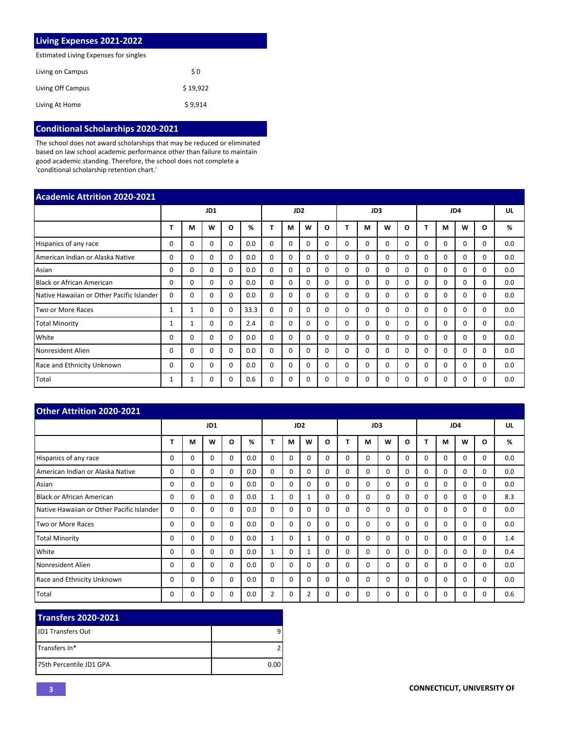| <b>Living Expenses 2021-2022</b>      |          |
|---------------------------------------|----------|
| Estimated Living Expenses for singles |          |
| Living on Campus                      | \$0      |
| Living Off Campus                     | \$19.922 |
| Living At Home                        | \$9.914  |

# **Conditional Scholarships 2020-2021**

The school does not award scholarships that may be reduced or eliminated based on law school academic performance other than failure to maintain good academic standing. Therefore, the school does not complete a 'conditional scholarship retention chart.'

| <b>Academic Attrition 2020-2021</b>       |              |     |          |          |      |                 |          |          |          |          |          |          |              |          |          |              |          |     |
|-------------------------------------------|--------------|-----|----------|----------|------|-----------------|----------|----------|----------|----------|----------|----------|--------------|----------|----------|--------------|----------|-----|
|                                           |              | JD1 |          |          |      | JD <sub>2</sub> |          |          |          | JD3      |          |          |              | JD4      |          |              |          |     |
|                                           |              | M   | W        | O        | %    |                 | M        | W        | O        |          | м        | W        | Ω            | т        | M        | W            | O        | %   |
| Hispanics of any race                     | 0            | 0   | $\Omega$ | 0        | 0.0  | $\Omega$        | $\Omega$ | 0        | $\Omega$ | $\Omega$ | $\Omega$ | $\Omega$ | 0            | $\Omega$ | 0        | <sup>0</sup> | $\Omega$ | 0.0 |
| American Indian or Alaska Native          | 0            | 0   | 0        | 0        | 0.0  | $\mathbf 0$     | 0        | $\Omega$ | $\Omega$ | 0        | 0        | 0        | 0            | 0        | 0        | $\Omega$     | $\Omega$ | 0.0 |
| Asian                                     | 0            | 0   | $\Omega$ | 0        | 0.0  | $\mathbf 0$     | $\Omega$ | $\Omega$ | $\Omega$ | $\Omega$ | $\Omega$ | $\Omega$ | $\Omega$     | $\Omega$ | $\Omega$ | 0            | $\Omega$ | 0.0 |
| <b>Black or African American</b>          | 0            | 0   | $\Omega$ | $\Omega$ | 0.0  | $\Omega$        | $\Omega$ | $\Omega$ | $\Omega$ | $\Omega$ | $\Omega$ | $\Omega$ | $\Omega$     | $\Omega$ | $\Omega$ | $\Omega$     | $\Omega$ | 0.0 |
| Native Hawaiian or Other Pacific Islander | 0            | 0   | $\Omega$ | $\Omega$ | 0.0  | $\mathbf 0$     | $\Omega$ | 0        | $\Omega$ | $\Omega$ | $\Omega$ | $\Omega$ | 0            | $\Omega$ | $\Omega$ | 0            | $\Omega$ | 0.0 |
| Two or More Races                         | $\mathbf{1}$ | 1   | $\Omega$ | $\Omega$ | 33.3 | $\Omega$        | $\Omega$ | 0        | $\Omega$ | $\Omega$ | $\Omega$ | $\Omega$ | $\Omega$     | $\Omega$ | $\Omega$ | $\Omega$     | $\Omega$ | 0.0 |
| <b>Total Minority</b>                     | 1            | 1   | $\Omega$ | $\Omega$ | 2.4  | $\Omega$        | $\Omega$ | $\Omega$ | $\Omega$ | $\Omega$ | $\Omega$ | $\Omega$ | $\Omega$     | $\Omega$ | $\Omega$ | $\Omega$     | $\Omega$ | 0.0 |
| White                                     | 0            | 0   | $\Omega$ | 0        | 0.0  | $\Omega$        | $\Omega$ | $\Omega$ | $\Omega$ | $\Omega$ | $\Omega$ | $\Omega$ | $\Omega$     | $\Omega$ | $\Omega$ | $\Omega$     | $\Omega$ | 0.0 |
| Nonresident Alien                         | 0            | 0   | $\Omega$ | $\Omega$ | 0.0  | $\mathbf 0$     | 0        | 0        | $\Omega$ | $\Omega$ | $\Omega$ | $\Omega$ | <sup>0</sup> | $\Omega$ | $\Omega$ | $\Omega$     | $\Omega$ | 0.0 |
| Race and Ethnicity Unknown                | 0            | 0   | $\Omega$ | 0        | 0.0  | $\mathbf 0$     | 0        | 0        | $\Omega$ | $\Omega$ | $\Omega$ | $\Omega$ | 0            | 0        | $\Omega$ | 0            | $\Omega$ | 0.0 |
| Total                                     |              |     | $\Omega$ | $\Omega$ | 0.6  | $\mathbf 0$     | $\Omega$ | 0        | $\Omega$ | $\Omega$ | $\Omega$ | $\Omega$ |              | 0        | 0        | 0            | $\Omega$ | 0.0 |

| <b>Other Attrition 2020-2021</b>          |          |     |          |          |     |                 |          |          |          |          |          |          |          |              |          |          |          |     |  |
|-------------------------------------------|----------|-----|----------|----------|-----|-----------------|----------|----------|----------|----------|----------|----------|----------|--------------|----------|----------|----------|-----|--|
|                                           |          | JD1 |          |          |     | JD <sub>2</sub> |          |          |          |          | JD3      |          |          |              | JD4      |          |          |     |  |
|                                           | т        | М   | W        | O        | %   | т               | М        | W        | O        | т        | м        | W        | O        |              | М        | W        | O        | %   |  |
| Hispanics of any race                     | 0        | 0   | 0        | $\Omega$ | 0.0 | $\Omega$        | 0        | $\Omega$ | $\Omega$ | $\Omega$ | $\Omega$ | $\Omega$ | $\Omega$ | $\Omega$     | $\Omega$ | $\Omega$ | $\Omega$ | 0.0 |  |
| American Indian or Alaska Native          | 0        | 0   | 0        | $\Omega$ | 0.0 | $\Omega$        | 0        | $\Omega$ | $\Omega$ | $\Omega$ | $\Omega$ | $\Omega$ | $\Omega$ | 0            | $\Omega$ | $\Omega$ | $\Omega$ | 0.0 |  |
| Asian                                     | 0        | 0   | 0        | $\Omega$ | 0.0 | $\Omega$        | 0        | $\Omega$ | $\Omega$ | $\Omega$ | $\Omega$ | $\Omega$ | $\Omega$ | $\Omega$     | $\Omega$ | $\Omega$ | $\Omega$ | 0.0 |  |
| Black or African American                 | 0        | 0   | 0        | 0        | 0.0 | 1               | 0        |          | $\Omega$ | $\Omega$ | $\Omega$ | $\Omega$ | $\Omega$ | $\Omega$     | $\Omega$ | $\Omega$ | 0        | 8.3 |  |
| Native Hawaiian or Other Pacific Islander | 0        | 0   | 0        | 0        | 0.0 | $\Omega$        | 0        | $\Omega$ | $\Omega$ | $\Omega$ | $\Omega$ | $\Omega$ | $\Omega$ | $\Omega$     | $\Omega$ | $\Omega$ | $\Omega$ | 0.0 |  |
| Two or More Races                         | 0        | 0   | 0        | 0        | 0.0 | $\Omega$        | 0        | $\Omega$ | $\Omega$ | $\Omega$ | $\Omega$ | $\Omega$ | $\Omega$ | <sup>0</sup> | $\Omega$ | $\Omega$ | $\Omega$ | 0.0 |  |
| <b>Total Minority</b>                     | $\Omega$ | 0   | $\Omega$ | 0        | 0.0 | 1               | $\Omega$ |          | $\Omega$ | $\Omega$ | $\Omega$ | $\Omega$ | $\Omega$ | $\Omega$     | $\Omega$ | $\Omega$ | $\Omega$ | 1.4 |  |
| White                                     | 0        | 0   | 0        | 0        | 0.0 | $\mathbf{1}$    | 0        |          | $\Omega$ | $\Omega$ | $\Omega$ | $\Omega$ | $\Omega$ | $\Omega$     | $\Omega$ | $\Omega$ | 0        | 0.4 |  |
| Nonresident Alien                         | 0        | 0   | $\Omega$ | $\Omega$ | 0.0 | $\Omega$        | 0        | $\Omega$ | $\Omega$ | $\Omega$ | $\Omega$ | $\Omega$ | $\Omega$ | $\Omega$     | $\Omega$ | $\Omega$ | $\Omega$ | 0.0 |  |
| Race and Ethnicity Unknown                | 0        | 0   | $\Omega$ | $\Omega$ | 0.0 | $\Omega$        | 0        | $\Omega$ | $\Omega$ | $\Omega$ | $\Omega$ | $\Omega$ | $\Omega$ | $\Omega$     | $\Omega$ | $\Omega$ | $\Omega$ | 0.0 |  |
| Total                                     | 0        | 0   | O        | 0        | 0.0 | $\overline{2}$  | 0        | 2        | 0        | 0        | $\Omega$ | $\Omega$ | $\Omega$ | 0            | 0        | 0        | $\Omega$ | 0.6 |  |

| <b>Transfers 2020-2021</b> |      |
|----------------------------|------|
| <b>IJD1 Transfers Out</b>  | a    |
| <b>ITransfers In*</b>      |      |
| 175th Percentile JD1 GPA   | 0.00 |